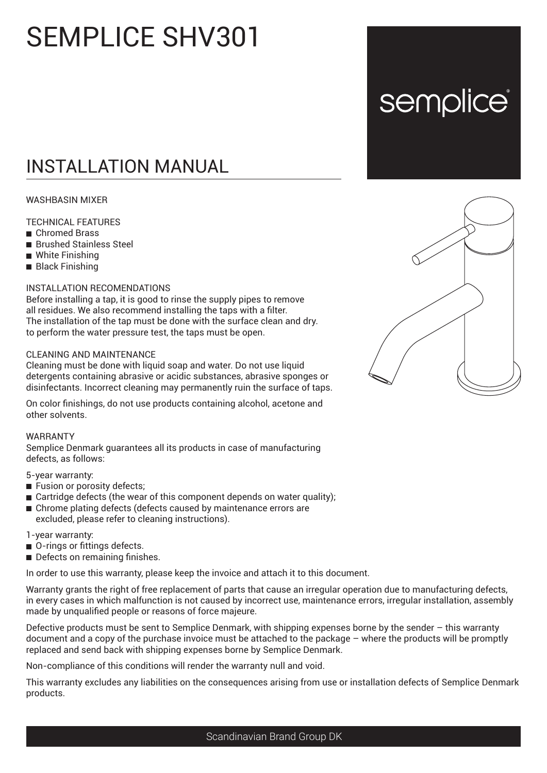# SEMPLICE SHV301

# INSTALLATION MANUAL

## WASHBASIN MIXER

#### TECHNICAL FEATURES

- **Chromed Brass**
- **Brushed Stainless Steel**
- White Finishing
- **Black Finishing**

### INSTALLATION RECOMENDATIONS

Before installing a tap, it is good to rinse the supply pipes to remove all residues. We also recommend installing the taps with a filter. The installation of the tap must be done with the surface clean and dry. to perform the water pressure test, the taps must be open.

#### CLEANING AND MAINTENANCE

Cleaning must be done with liquid soap and water. Do not use liquid detergents containing abrasive or acidic substances, abrasive sponges or disinfectants. Incorrect cleaning may permanently ruin the surface of taps.

On color finishings, do not use products containing alcohol, acetone and other solvents.

#### WARRANTY

Semplice Denmark guarantees all its products in case of manufacturing defects, as follows:

5-year warranty:

- **Fusion or porosity defects;**
- $\blacksquare$  Cartridge defects (the wear of this component depends on water quality);
- Chrome plating defects (defects caused by maintenance errors are excluded, please refer to cleaning instructions).

#### 1-year warranty:

- O-rings or fittings defects.
- Defects on remaining finishes.

In order to use this warranty, please keep the invoice and attach it to this document.

Warranty grants the right of free replacement of parts that cause an irregular operation due to manufacturing defects, in every cases in which malfunction is not caused by incorrect use, maintenance errors, irregular installation, assembly made by unqualified people or reasons of force majeure.

Defective products must be sent to Semplice Denmark, with shipping expenses borne by the sender – this warranty document and a copy of the purchase invoice must be attached to the package – where the products will be promptly replaced and send back with shipping expenses borne by Semplice Denmark.

Non-compliance of this conditions will render the warranty null and void.

This warranty excludes any liabilities on the consequences arising from use or installation defects of Semplice Denmark products.



semplice®